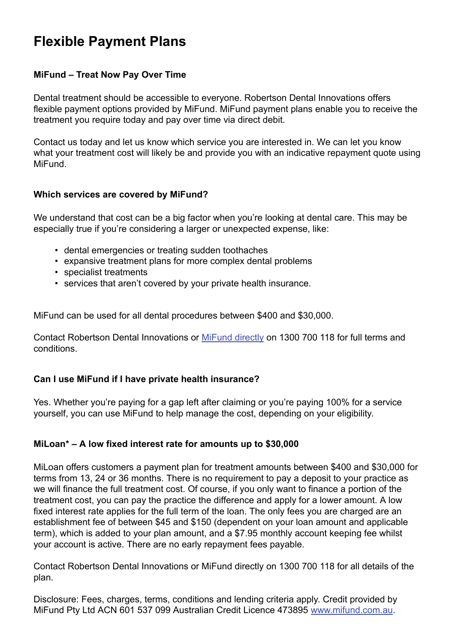# **Flexible Payment Plans**

#### **MiFund – Treat Now Pay Over Time**

Dental treatment should be accessible to everyone. Robertson Dental Innovations offers flexible payment options provided by MiFund. MiFund payment plans enable you to receive the treatment you require today and pay over time via direct debit.

Contact us today and let us know which service you are interested in. We can let you know what your treatment cost will likely be and provide you with an indicative repayment quote using MiFund.

#### **Which services are covered by MiFund?**

We understand that cost can be a big factor when you're looking at dental care. This may be especially true if you're considering a larger or unexpected expense, like:

- dental emergencies or treating sudden toothaches
- expansive treatment plans for more complex dental problems
- specialist treatments
- services that aren't covered by your private health insurance.

MiFund can be used for all dental procedures between \$400 and \$30,000.

Contact Robertson Dental Innovations or MiFund directly on 1300 700 118 for full terms and conditions.

## **Can I use MiFund if I have private health insurance?**

Yes. Whether you're paying for a gap left after claiming or you're paying 100% for a service yourself, you can use MiFund to help manage the cost, depending on your eligibility.

## **MiLoan\* – A low fixed interest rate for amounts up to \$30,000**

MiLoan offers customers a payment plan for treatment amounts between \$400 and \$30,000 for terms from 13, 24 or 36 months. There is no requirement to pay a deposit to your practice as we will finance the full treatment cost. Of course, if you only want to finance a portion of the treatment cost, you can pay the practice the difference and apply for a lower amount. A low fixed interest rate applies for the full term of the loan. The only fees you are charged are an establishment fee of between \$45 and \$150 (dependent on your loan amount and applicable term), which is added to your plan amount, and a \$7.95 monthly account keeping fee whilst your account is active. There are no early repayment fees payable.

Contact Robertson Dental Innovations or MiFund directly on 1300 700 118 for all details of the plan.

Disclosure: Fees, charges, terms, conditions and lending criteria apply. Credit provided by MiFund Pty Ltd ACN 601 537 099 Australian Credit Licence 473895 www.mifund.com.au.